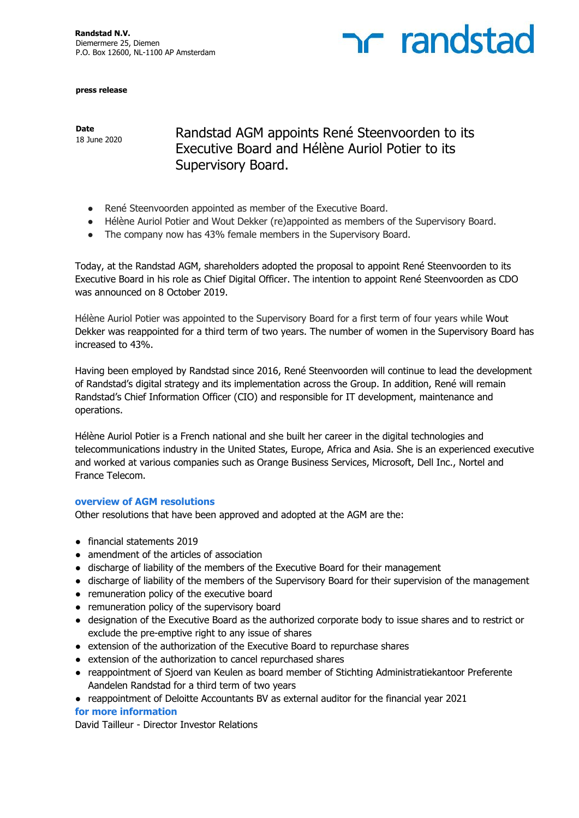

**press release**

**Date**

Date<br>18 June 2020 Randstad AGM appoints René Steenvoorden to its Executive Board and Hélène Auriol Potier to its Supervisory Board.

- René Steenvoorden appointed as member of the Executive Board.
- Hélène Auriol Potier and Wout Dekker (re)appointed as members of the Supervisory Board.
- The company now has 43% female members in the Supervisory Board.

Today, at the Randstad AGM, shareholders adopted the proposal to appoint René Steenvoorden to its Executive Board in his role as Chief Digital Officer. The intention to appoint René Steenvoorden as CDO was announced on 8 October 2019.

Hélène Auriol Potier was appointed to the Supervisory Board for a first term of four years while Wout Dekker was reappointed for a third term of two years. The number of women in the Supervisory Board has increased to 43%.

Having been employed by Randstad since 2016, René Steenvoorden will continue to lead the development of Randstad's digital strategy and its implementation across the Group. In addition, René will remain Randstad's Chief Information Officer (CIO) and responsible for IT development, maintenance and operations.

Hélène Auriol Potier is a French national and she built her career in the digital technologies and telecommunications industry in the United States, Europe, Africa and Asia. She is an experienced executive and worked at various companies such as Orange Business Services, Microsoft, Dell Inc., Nortel and France Telecom.

## **overview of AGM resolutions**

Other resolutions that have been approved and adopted at the AGM are the:

- financial statements 2019
- amendment of the articles of association
- discharge of liability of the members of the Executive Board for their management
- discharge of liability of the members of the Supervisory Board for their supervision of the management
- remuneration policy of the executive board
- remuneration policy of the supervisory board
- designation of the Executive Board as the authorized corporate body to issue shares and to restrict or exclude the pre-emptive right to any issue of shares
- extension of the authorization of the Executive Board to repurchase shares
- extension of the authorization to cancel repurchased shares
- reappointment of Sjoerd van Keulen as board member of Stichting Administratiekantoor Preferente Aandelen Randstad for a third term of two years
- reappointment of Deloitte Accountants BV as external auditor for the financial year 2021

## **for more information**

David Tailleur - Director Investor Relations